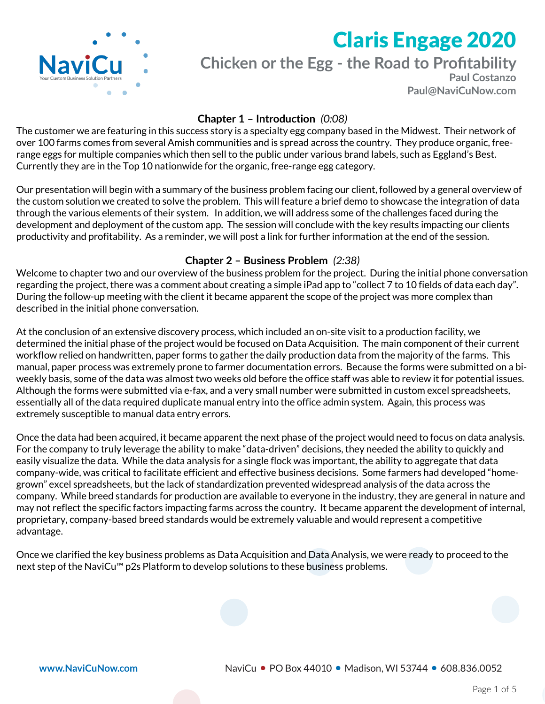

# **Chicken or the Egg - the Road to Profitability**

**Paul Costanzo Paul@NaviCuNow.com**

## **Chapter 1 – Introduction** *(0:08)*

The customer we are featuring in this success story is a specialty egg company based in the Midwest. Their network of over 100 farms comes from several Amish communities and is spread across the country. They produce organic, freerange eggs for multiple companies which then sell to the public under various brand labels, such as Eggland's Best. Currently they are in the Top 10 nationwide for the organic, free-range egg category.

Our presentation will begin with a summary of the business problem facing our client, followed by a general overview of the custom solution we created to solve the problem. This will feature a brief demo to showcase the integration of data through the various elements of their system. In addition, we will address some of the challenges faced during the development and deployment of the custom app. The session will conclude with the key results impacting our clients productivity and profitability. As a reminder, we will post a link for further information at the end of the session.

## **Chapter 2 – Business Problem** *(2:38)*

Welcome to chapter two and our overview of the business problem for the project. During the initial phone conversation regarding the project, there was a comment about creating a simple iPad app to "collect 7 to 10 fields of data each day". During the follow-up meeting with the client it became apparent the scope of the project was more complex than described in the initial phone conversation.

At the conclusion of an extensive discovery process, which included an on-site visit to a production facility, we determined the initial phase of the project would be focused on Data Acquisition. The main component of their current workflow relied on handwritten, paper forms to gather the daily production data from the majority of the farms. This manual, paper process was extremely prone to farmer documentation errors. Because the forms were submitted on a biweekly basis, some of the data was almost two weeks old before the office staff was able to review it for potential issues. Although the forms were submitted via e-fax, and a very small number were submitted in custom excel spreadsheets, essentially all of the data required duplicate manual entry into the office admin system. Again, this process was extremely susceptible to manual data entry errors.

Once the data had been acquired, it became apparent the next phase of the project would need to focus on data analysis. For the company to truly leverage the ability to make "data-driven" decisions, they needed the ability to quickly and easily visualize the data. While the data analysis for a single flock was important, the ability to aggregate that data company-wide, was critical to facilitate efficient and effective business decisions. Some farmers had developed "homegrown" excel spreadsheets, but the lack of standardization prevented widespread analysis of the data across the company. While breed standards for production are available to everyone in the industry, they are general in nature and may not reflect the specific factors impacting farms across the country. It became apparent the development of internal, proprietary, company-based breed standards would be extremely valuable and would represent a competitive advantage.

Once we clarified the key business problems as Data Acquisition and Data Analysis, we were ready to proceed to the next step of the NaviCu™ p2s Platform to develop solutions to these business problems.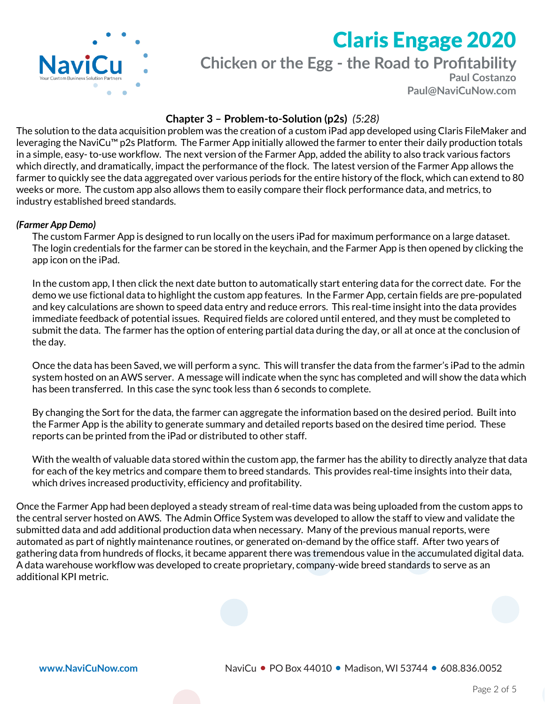

**Chicken or the Egg - the Road to Profitability**

**Paul Costanzo Paul@NaviCuNow.com**

## **Chapter 3 – Problem-to-Solution (p2s)** *(5:28)*

The solution to the data acquisition problem was the creation of a custom iPad app developed using Claris FileMaker and leveraging the NaviCu™ p2s Platform. The Farmer App initially allowed the farmer to enter their daily production totals in a simple, easy- to-use workflow. The next version of the Farmer App, added the ability to also track various factors which directly, and dramatically, impact the performance of the flock. The latest version of the Farmer App allows the farmer to quickly see the data aggregated over various periods for the entire history of the flock, which can extend to 80 weeks or more. The custom app also allows them to easily compare their flock performance data, and metrics, to industry established breed standards.

#### *(Farmer App Demo)*

The custom Farmer App is designed to run locally on the users iPad for maximum performance on a large dataset. The login credentials for the farmer can be stored in the keychain, and the Farmer App is then opened by clicking the app icon on the iPad.

In the custom app, I then click the next date button to automatically start entering data for the correct date. For the demo we use fictional data to highlight the custom app features. In the Farmer App, certain fields are pre-populated and key calculations are shown to speed data entry and reduce errors. This real-time insight into the data provides immediate feedback of potential issues. Required fields are colored until entered, and they must be completed to submit the data. The farmer has the option of entering partial data during the day, or all at once at the conclusion of the day.

Once the data has been Saved, we will perform a sync. This will transfer the data from the farmer's iPad to the admin system hosted on an AWS server. A message will indicate when the sync has completed and will show the data which has been transferred. In this case the sync took less than 6 seconds to complete.

By changing the Sort for the data, the farmer can aggregate the information based on the desired period. Built into the Farmer App is the ability to generate summary and detailed reports based on the desired time period. These reports can be printed from the iPad or distributed to other staff.

With the wealth of valuable data stored within the custom app, the farmer has the ability to directly analyze that data for each of the key metrics and compare them to breed standards. This provides real-time insights into their data, which drives increased productivity, efficiency and profitability.

Once the Farmer App had been deployed a steady stream of real-time data was being uploaded from the custom apps to the central server hosted on AWS. The Admin Office System was developed to allow the staff to view and validate the submitted data and add additional production data when necessary. Many of the previous manual reports, were automated as part of nightly maintenance routines, or generated on-demand by the office staff. After two years of gathering data from hundreds of flocks, it became apparent there was tremendous value in the accumulated digital data. A data warehouse workflow was developed to create proprietary, company-wide breed standards to serve as an additional KPI metric.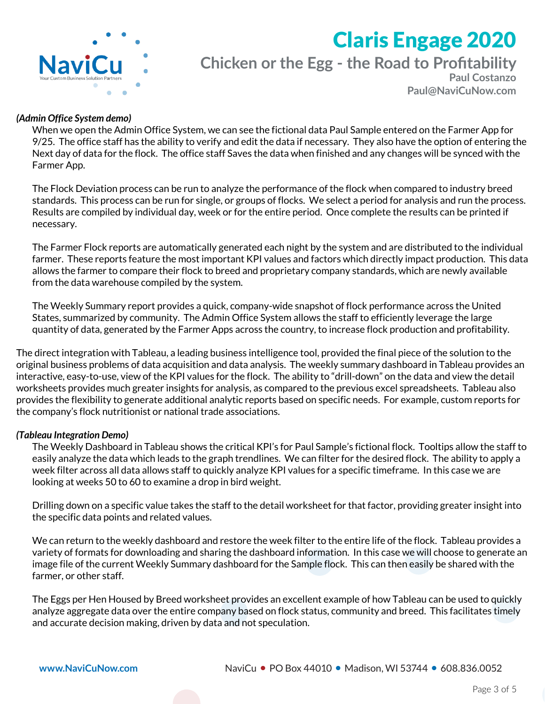

**Chicken or the Egg - the Road to Profitability**

**Paul Costanzo Paul@NaviCuNow.com**

#### *(Admin Office System demo)*

When we open the Admin Office System, we can see the fictional data Paul Sample entered on the Farmer App for 9/25. The office staff has the ability to verify and edit the data if necessary. They also have the option of entering the Next day of data for the flock. The office staff Saves the data when finished and any changes will be synced with the Farmer App.

The Flock Deviation process can be run to analyze the performance of the flock when compared to industry breed standards. This process can be run for single, or groups of flocks. We select a period for analysis and run the process. Results are compiled by individual day, week or for the entire period. Once complete the results can be printed if necessary.

The Farmer Flock reports are automatically generated each night by the system and are distributed to the individual farmer. These reports feature the most important KPI values and factors which directly impact production. This data allows the farmer to compare their flock to breed and proprietary company standards, which are newly available from the data warehouse compiled by the system.

The Weekly Summary report provides a quick, company-wide snapshot of flock performance across the United States, summarized by community. The Admin Office System allows the staff to efficiently leverage the large quantity of data, generated by the Farmer Apps across the country, to increase flock production and profitability.

The direct integration with Tableau, a leading business intelligence tool, provided the final piece of the solution to the original business problems of data acquisition and data analysis. The weekly summary dashboard in Tableau provides an interactive, easy-to-use, view of the KPI values for the flock. The ability to "drill-down" on the data and view the detail worksheets provides much greater insights for analysis, as compared to the previous excel spreadsheets. Tableau also provides the flexibility to generate additional analytic reports based on specific needs. For example, custom reports for the company's flock nutritionist or national trade associations.

#### *(Tableau Integration Demo)*

The Weekly Dashboard in Tableau shows the critical KPI's for Paul Sample's fictional flock. Tooltips allow the staff to easily analyze the data which leads to the graph trendlines. We can filter for the desired flock. The ability to apply a week filter across all data allows staff to quickly analyze KPI values for a specific timeframe. In this case we are looking at weeks 50 to 60 to examine a drop in bird weight.

Drilling down on a specific value takes the staff to the detail worksheet for that factor, providing greater insight into the specific data points and related values.

We can return to the weekly dashboard and restore the week filter to the entire life of the flock. Tableau provides a variety of formats for downloading and sharing the dashboard information. In this case we will choose to generate an image file of the current Weekly Summary dashboard for the Sample flock. This can then easily be shared with the farmer, or other staff.

The Eggs per Hen Housed by Breed worksheet provides an excellent example of how Tableau can be used to quickly analyze aggregate data over the entire company based on flock status, community and breed. This facilitates timely and accurate decision making, driven by data and not speculation.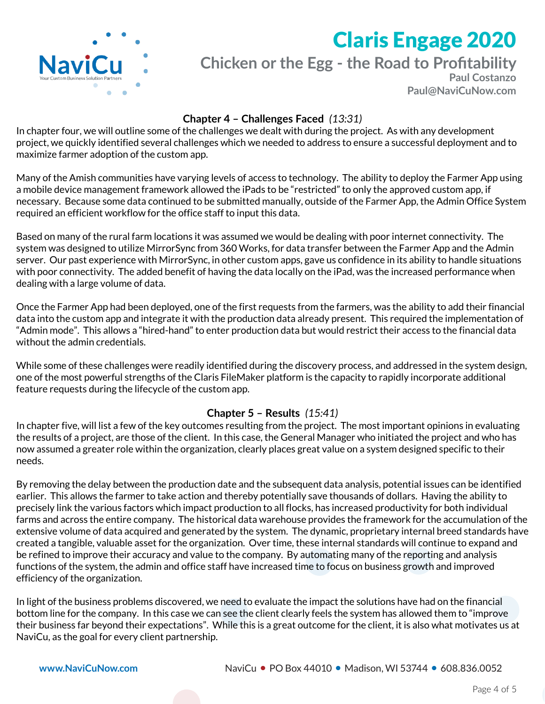

# **Chicken or the Egg - the Road to Profitability**

**Paul Costanzo Paul@NaviCuNow.com**

## **Chapter 4 – Challenges Faced** *(13:31)*

In chapter four, we will outline some of the challenges we dealt with during the project. As with any development project, we quickly identified several challenges which we needed to address to ensure a successful deployment and to maximize farmer adoption of the custom app.

Many of the Amish communities have varying levels of access to technology. The ability to deploy the Farmer App using a mobile device management framework allowed the iPads to be "restricted" to only the approved custom app, if necessary. Because some data continued to be submitted manually, outside of the Farmer App, the Admin Office System required an efficient workflow for the office staff to input this data.

Based on many of the rural farm locations it was assumed we would be dealing with poor internet connectivity. The system was designed to utilize MirrorSync from 360 Works, for data transfer between the Farmer App and the Admin server. Our past experience with MirrorSync, in other custom apps, gave us confidence in its ability to handle situations with poor connectivity. The added benefit of having the data locally on the iPad, was the increased performance when dealing with a large volume of data.

Once the Farmer App had been deployed, one of the first requests from the farmers, was the ability to add their financial data into the custom app and integrate it with the production data already present. This required the implementation of "Admin mode". This allows a "hired-hand" to enter production data but would restrict their access to the financial data without the admin credentials.

While some of these challenges were readily identified during the discovery process, and addressed in the system design, one of the most powerful strengths of the Claris FileMaker platform is the capacity to rapidly incorporate additional feature requests during the lifecycle of the custom app.

### **Chapter 5 – Results** *(15:41)*

In chapter five, will list a few of the key outcomes resulting from the project. The most important opinions in evaluating the results of a project, are those of the client. In this case, the General Manager who initiated the project and who has now assumed a greater role within the organization, clearly places great value on a system designed specific to their needs.

By removing the delay between the production date and the subsequent data analysis, potential issues can be identified earlier. This allows the farmer to take action and thereby potentially save thousands of dollars. Having the ability to precisely link the various factors which impact production to all flocks, has increased productivity for both individual farms and across the entire company. The historical data warehouse provides the framework for the accumulation of the extensive volume of data acquired and generated by the system. The dynamic, proprietary internal breed standards have created a tangible, valuable asset for the organization. Over time, these internal standards will continue to expand and be refined to improve their accuracy and value to the company. By automating many of the reporting and analysis functions of the system, the admin and office staff have increased time to focus on business growth and improved efficiency of the organization.

In light of the business problems discovered, we need to evaluate the impact the solutions have had on the financial bottom line for the company. In this case we can see the client clearly feels the system has allowed them to "improve their business far beyond their expectations". While this is a great outcome for the client, it is also what motivates us at NaviCu, as the goal for every client partnership.